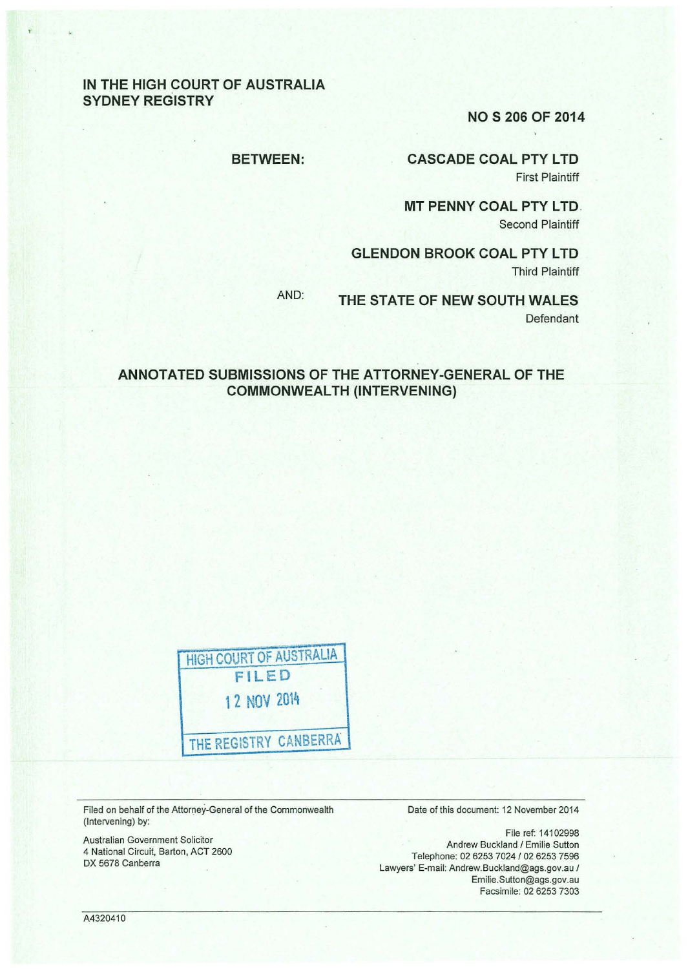### IN THE HIGH COURT OF AUSTRALIA SYDNEY REGISTRY

NOS 206 OF 2014

#### BETWEEN:

CASCADE COAL PTY LTD First Plaintiff

**MT PENNY COAL PTY LTD.** Second Plaintiff

GLENDON BROOK COAL PTY LTD Third Plaintiff

AND: THE STATE OF NEW SOUTH WALES Defendant

### ANNOTATED SUBMISSIONS OF THE ATTORNEY -GENERAL OF THE COMMONWEALTH (INTERVENING)

HIGH COURT OF AUSTRALIA FILED 12 NOV 2014 THE REGISTRY CANBERRA

Filed on behalf of the Attorney-General of the Commonwealth (Intervening) by:

Australian Government Solicitor 4 National Circuit, Barton, ACT 2600 DX 5678 Canberra

Date of this document: 12 November 2014

File ref: 14102998 Andrew Buckland / Emilie Sutton Telephone: 02 6253 7024 / 02 6253 7596 Lawyers' E-mail: Andrew.Buckland@ags.gov.au I Emilie.Sutton@ags.gov.au Facsimile: 02 6253 7303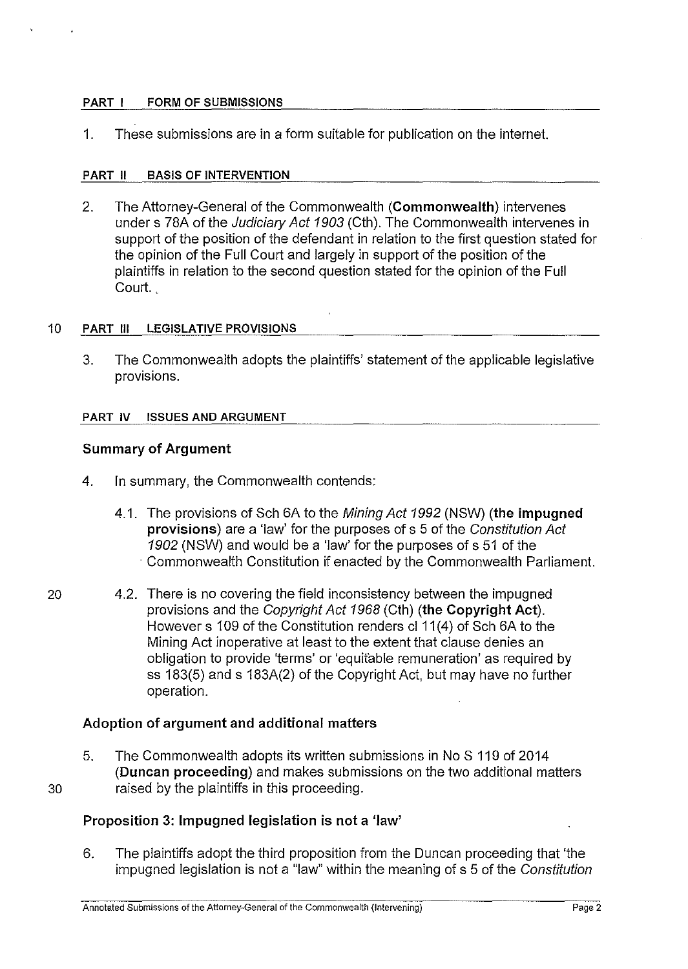### PART I FORM OF SUBMISSIONS

1. These submissions are in a form suitable for publication on the internet.

### PART II BASIS OF INTERVENTION

2. The Attorney-General of the Commonwealth (Commonwealth) intervenes under s 78A of the Judiciary Act 1903 (Cth). The Commonwealth intervenes in support of the position of the defendant in relation to the first question stated for the opinion of the Full Court and largely in support of the position of the plaintiffs in relation to the second question stated for the opinion of the Full Court.

### 10 PART Ill LEGISLATIVE PROVISIONS

3. The Commonwealth adopts the plaintiffs' statement of the applicable legislative provisions.

### PART IV ISSUES AND ARGUMENT

# Summary of Argument

- 4. In summary, the Commonwealth contends:
	- 4.1. The provisions of Sch 6A to the Mining Act 1992 (NSW) (the impugned provisions) are a 'law' for the purposes of s 5 of the Constitution Act 1902 (NSW) and would be a 'law' for the purposes of s 51 of the · Commonwealth Constitution if enacted by the Commonwealth Parliament.
- 20 4.2. There is no covering the field inconsistency between the impugned provisions and the Copyright Act 1968 (Cth) (the Copyright Act). However s 109 of the Constitution renders cl 11(4) of Sch 6A to the Mining Act inoperative at least to the extent that clause denies an obligation to provide 'terms' or 'equitable remuneration' as required by ss 183(5) and s 183A(2) of the Copyright Act, but may have no further operation.

## Adoption of argument and additional matters

5. The Commonwealth adopts its written submissions in NoS 110 of 2014 (Duncan proceeding) and makes submissions on the two additional matters 30 raised by the plaintiffs in this proceeding.

## Proposition 3: Impugned legislation is not a 'law'

6. The plaintiffs adopt the third proposition from the Duncan proceeding that 'the impugned legislation is not a "law" within the meaning of s 5 of the Constitution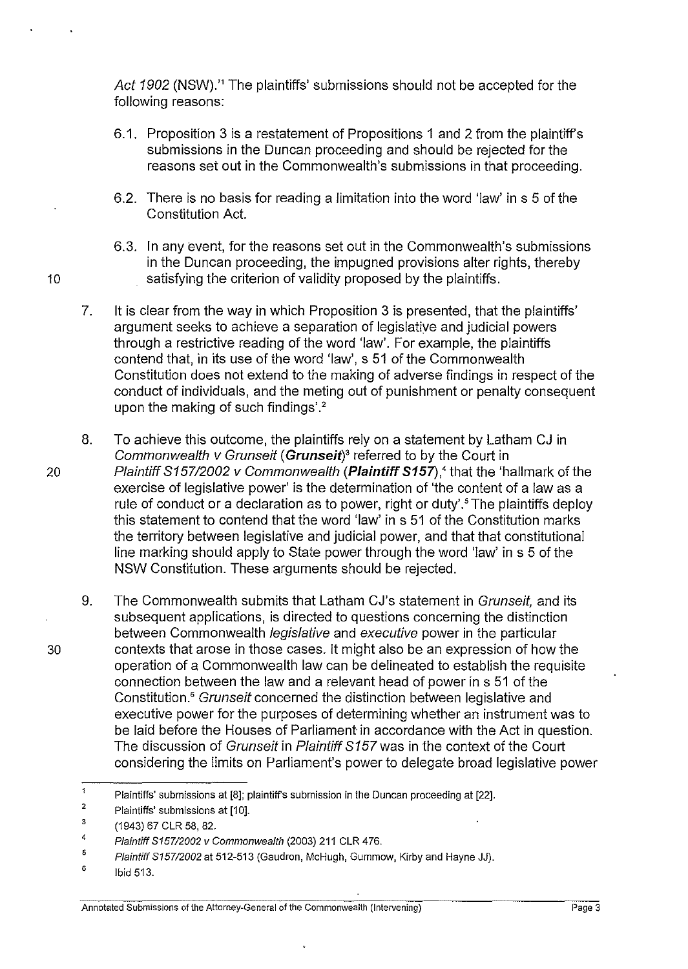Act 1902 (NSW).<sup>1</sup> The plaintiffs' submissions should not be accepted for the following reasons:

- 6.1. Proposition 3 is a restatement of Propositions 1 and 2 from the plaintiff's submissions in the Duncan proceeding and should be rejected for the reasons set out in the Commonwealth's submissions in that proceeding.
- 6.2. There is no basis for reading a limitation into the word 'law' in s 5 of the Constitution Act.
- 6.3. In any event, for the reasons set out in the Commonwealth's submissions in the Duncan proceeding, the impugned provisions alter rights, thereby 10 satisfying the criterion of validity proposed by the plaintiffs.
	- 7. It is clear from the way in which Proposition 3 is presented, that the plaintiffs' argument seeks to achieve a separation of legislative and judicial powers through a restrictive reading of the word 'law'. For example, the plaintiffs contend that, in its use of the word 'law', s 51 of the Commonwealth Constitution does not extend to the making of adverse findings in respect of the conduct of individuals, and the meting out of punishment or penalty consequent upon the making of such findings'. $^{\rm 2}$
- 8. To achieve this outcome, the plaintiffs rely on a statement by Latham CJ in Commonwealth v Grunseit **(Grunseit)** *<sup>3</sup>*referred to by the Court in 20 Plaintiff 815712002 v Commonwealth **(Plaintiff S157),'** that the 'hallmark of the exercise of legislative power' is the determination of 'the content of a law as a rule of conduct or a declaration as to power, right or duty'.<sup>5</sup> The plaintiffs deploy this statement to contend that the word 'law' in s 51 of the Constitution marks the territory between legislative and judicial power, and that that constitutional line marking should apply to State power through the word 'law' in s 5 of the NSW Constitution. These arguments should be rejected.
- 9. The Commonwealth submits that Latham CJ's statement in Grunseit, and its subsequent applications, is directed to questions concerning the distinction between Commonwealth *legislative* and executive power in the particular 30 contexts that arose in those cases. It might also be an expression of how the operation of a Commonwealth law can be delineated to establish the requisite connection between the law and a relevant head of power in s 51 of the Constitution.<sup>6</sup> Grunseit concerned the distinction between legislative and executive power for the purposes of determining whether an instrument was to be laid before the Houses of Parliament in accordance with the Act in question. The discussion of Grunseit in Plaintiff S157 was in the context of the Court considering the limits on Parliament's power to delegate broad legislative power

 $\Delta$ Plaintiffs' submissions at [8]; plaintiffs submission in the Duncan proceeding at [22].

<sup>2</sup>  Plaintiffs' submissions at [10].

<sup>3</sup>  (1943) 67 CLR 58, 82.

<sup>4</sup>  Plaintiff 815712002 v Commonwealth (2003) 211 CLR 476.

<sup>5</sup>  Plaintiff S157/2002 at 512-513 (Gaudron, McHugh, Gummow, Kirby and Hayne JJ).

<sup>6</sup>  Ibid 513.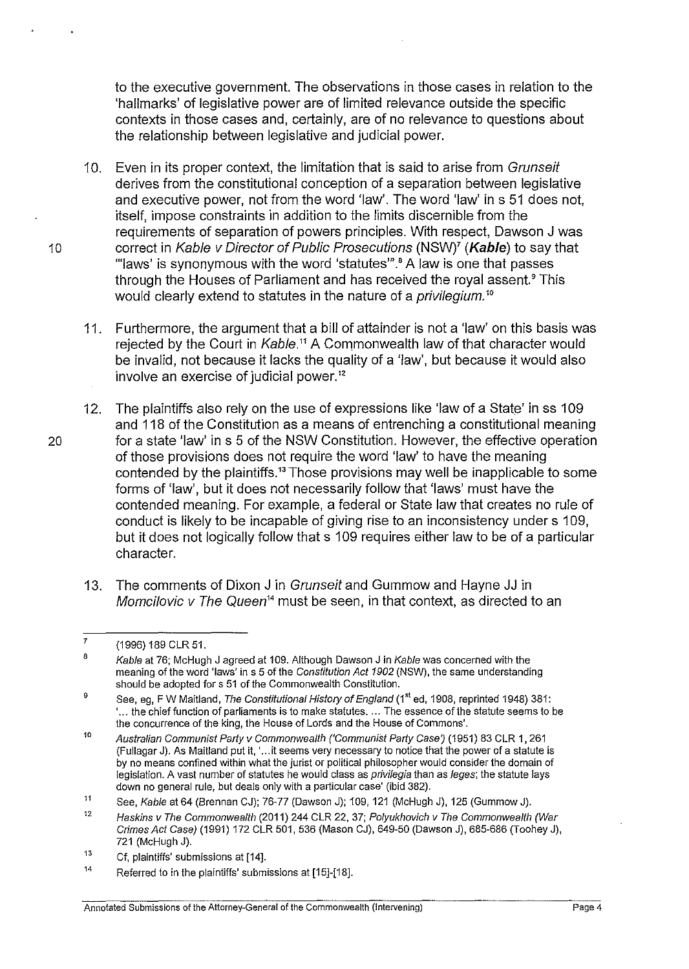to the executive government. The observations in those cases in relation to the 'hallmarks' of legislative power are of limited relevance outside the specific contexts in those cases and, certainly, are of no relevance to questions about the relationship between legislative and judicial power.

- 10. Even in its proper context, the limitation that is said to arise from Grunseit derives from the constitutional conception of a separation between legislative and executive power, not from the word 'law'. The word 'law' in s 51 does not, itself, impose constraints in addition to the limits discernible from the requirements of separation of powers principles. With respect, Dawson J was 1 o correct in Kable v Director of Public Prosecutions (NSWY **(Kable)** to say that '"laws' is synonymous with the word 'statutes"'.• A law is one that passes through the Houses of Parliament and has received the royal assent.<sup>9</sup> This would clearly extend to statutes in the nature of a *privilegium*.<sup>10</sup>
	- 11. Furthermore, the argument that a bill of attainder is not a 'law' on this basis was rejected by the Court in Kable.<sup>11</sup> A Commonwealth law of that character would be invalid, not because it lacks the quality of a 'law', but because it would also involve an exercise of judicial power. <sup>12</sup>
- 12. The plaintiffs also rely on the use of expressions like 'law of a State' in ss 109 and 118 of the Constitution as a means of entrenching a constitutional meaning 20 for a state 'law' in s 5 of the NSW Constitution. However, the effective operation of those provisions does not require the word 'law' to have the meaning contended by the plaintiffs.<sup>13</sup> Those provisions may well be inapplicable to some forms of 'law', but it does not necessarily follow that 'laws' must have the contended meaning. For example, a federal or State law that creates no rule of conduct is likely to be incapable of giving rise to an inconsistency under s 109, but it does not logically follow that s 109 requires either law to be of a particular character.
	- 13. The comments of Dixon J in Grunseit and Gummow and Hayne JJ in Momcilovic v The Queen<sup>14</sup> must be seen, in that context, as directed to an

<sup>7</sup>  (1996) 189 CLR 51.

<sup>8</sup>  Kable at 76; McHugh J agreed at 109. Although Dawson J in Kable was concerned with the meaning of the word 'laws' in s 5 of the Constitution Act 1902 (NSW), the same understanding should be adopted for s 51 of the Commonwealth Constitution.

<sup>9</sup>  See, eg, F W Maitland, The Constitutional History of England (1st ed, 1908, reprinted 1948) 381: '... the chief function of parliaments is to make statutes. ... The essence of the statute seems to be the concurrence of the king, the House of Lords and the House of Commons'.

<sup>10</sup>  Australian Communist Party v Commonwealth ('Communist Party Case) (1951) 83 CLR 1, 261 (Fullagar J). As Maitland put it, '... it seems very necessary to notice that the power of a statute is by no means confined within what the jurist or political philosopher would consider the domain of legislation. A vast number of statutes he would class as *privilegia* than as leges; the statute lays down no general rule, but deals only with a particular case' (ibid 382).

<sup>11</sup>  See, Kable at 64 (Brennan CJ); 76-77 (Dawson J); 109, 121 (McHugh J), 125 (Gummow J).

<sup>12</sup>  Haskins v The Commonwealth (2011) 244 CLR 22, 37; Polyukhovich v The Commonwealth (War Crimes Act Case) (1991) 172 CLR 501, 536 (Mason CJ), 649·50 (Dawson J), 685-686 (Toohey J), 721 (McHugh J).

<sup>13</sup>  Cf, plaintiffs' submissions at [14].

<sup>14</sup>  Referred to in the plaintiffs' submissions at [15]-[18].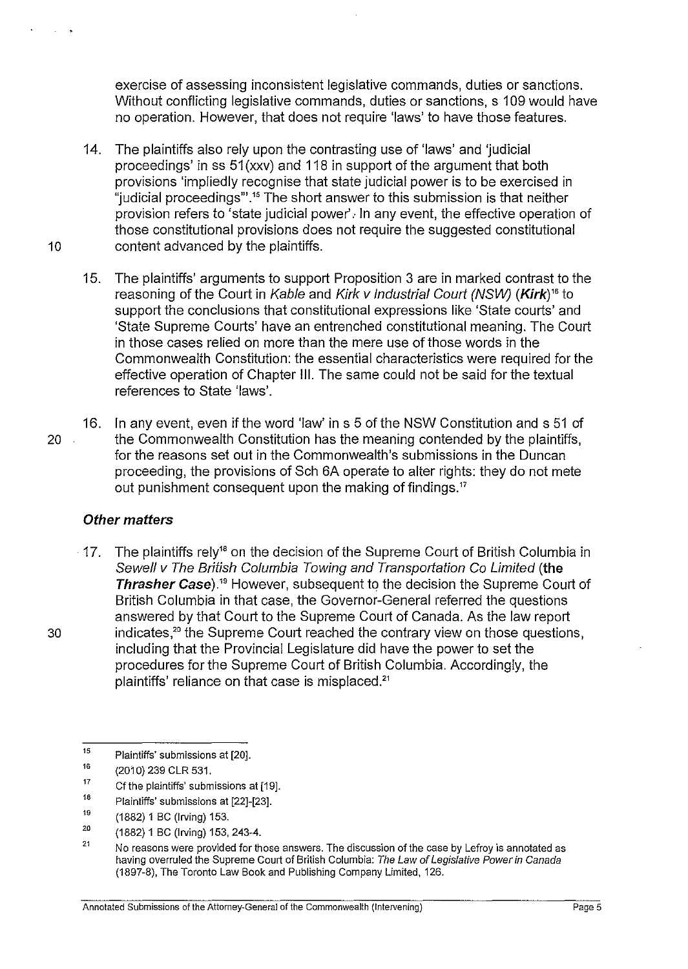exercise of assessing inconsistent legislative commands, duties or sanctions. Without conflicting legislative commands, duties or sanctions, s 109 would have no operation. However, that does not require 'laws' to have those features.

- 14. The plaintiffs also rely upon the contrasting use of 'laws' and 'judicial proceedings' in ss 51 (xxv) and 118 in support of the argument that both provisions 'impliedly recognise that state judicial power is to be exercised in "judicial proceedings"'.<sup>15</sup> The short answer to this submission is that neither provision refers to 'state judicial power'. In any event, the effective operation of those constitutional provisions does not require the suggested constitutional 10 content advanced by the plaintiffs.
	- 15. The plaintiffs' arguments to support Proposition 3 are in marked contrast to the reasoning of the Court in Kable and Kirk v Industrial Court (NSW) (Kirk)<sup>16</sup> to support the conclusions that constitutional expressions like 'State courts' and 'State Supreme Courts' have an entrenched constitutional meaning. The Court in those cases relied on more than the mere use of those words in the Commonwealth Constitution: the essential characteristics were required for the effective operation of Chapter Ill. The same could not be said for the textual references to State 'laws'.
- 16. In any event, even if the word 'law' ins 5 of the NSW Constitution and s 51 of 20 the Commonwealth Constitution has the meaning contended by the plaintiffs, for the reasons set out in the Commonwealth's submissions in the Duncan proceeding, the provisions of Sch 6A operate to alter rights: they do not mete out punishment consequent upon the making of findings."

## **Other matters**

 $\cdot$  17. The plaintiffs rely<sup>18</sup> on the decision of the Supreme Court of British Columbia in Sewell v The British Columbia Towing and Transportation Co Limited **(the Thrasher Case).19** However, subsequent to the decision the Supreme Court of British Columbia in that case, the Governor-General referred the questions answered by that Court to the Supreme Court of Canada. As the law report 30 indicates,<sup>20</sup> the Supreme Court reached the contrary view on those questions, including that the Provincial Legislature did have the power to set the procedures for the Supreme Court of British Columbia. Accordingly, the plaintiffs' reliance on that case is misplaced."

- 17 Cf the plaintiffs' submissions at [19].
- 18 Plaintiffs' submissions at [22]-[23].

20 (1882) 1 BC (Irving) 153, 243-4.

<sup>15</sup>  Plaintiffs' submissions at [20].

<sup>16</sup>  (2010) 239 CLR 531.

<sup>19</sup>  (1882) 1 BC (Irving) 153.

<sup>21</sup>  No reasons were provided for those answers. The discussion of the case by Lefroy is annotated as having overruled the Supreme Court of British Columbia: The Law of Legislative Power in Canada (1897-8), The Toronto Law Book and Publishing Company Limited, 126.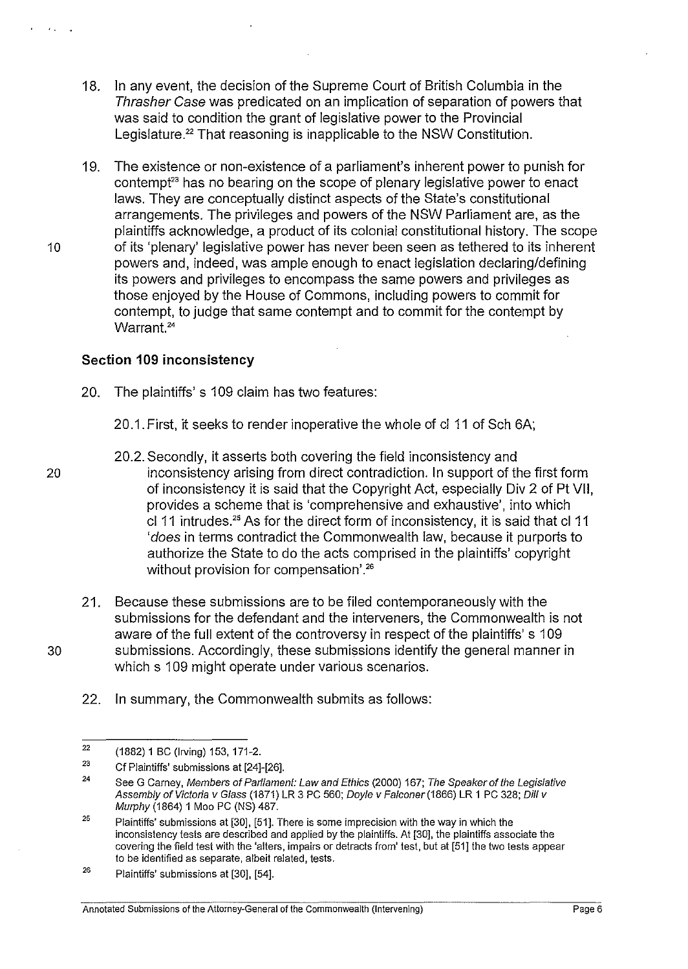- 18. In any event, the decision of the Supreme Court of British Columbia in the Thrasher Case was predicated on an implication of separation of powers that was said to condition the grant of legislative power to the Provincial Legislature.<sup>22</sup> That reasoning is inapplicable to the NSW Constitution.
- 19. The existence or non-existence of a parliament's inherent power to punish for contempt<sup>23</sup> has no bearing on the scope of plenary legislative power to enact laws. They are conceptually distinct aspects of the State's constitutional arrangements. The privileges and powers of the NSW Parliament are, as the plaintiffs acknowledge, a product of its colonial constitutional history. The scope 10 of its 'plenary' legislative power has never been seen as tethered to its inherent powers and, indeed, was ample enough to enact legislation declaring/defining its powers and privileges to encompass the same powers and privileges as those enjoyed by the House of Commons, including powers to commit for contempt, to judge that same contempt and to commit for the contempt by Warrant.<sup>24</sup>

### **Section 109 inconsistency**

- 20. The plaintiffs's 109 claim has two features:
	- 20.1. First, it seeks to render inoperative the whole of cl 11 of Sch 6A;
- 20.2. Secondly, it asserts both covering the field inconsistency and 20 inconsistency arising from direct contradiction. In support of the first form of inconsistency it is said that the Copyright Act, especially Div 2 of Pt VII, provides a scheme that is 'comprehensive and exhaustive', into which cl 11 intrudes.<sup>25</sup> As for the direct form of inconsistency, it is said that cl 11 'does in terms contradict the Commonwealth law, because it purports to authorize the State to do the acts comprised in the plaintiffs' copyright without provision for compensation'.<sup>26</sup>
- 21. Because these submissions are to be filed contemporaneously with the submissions for the defendant and the interveners, the Commonwealth is not aware of the full extent of the controversy in respect of the plaintiffs' s 109 30 submissions. Accordingly, these submissions identify the general manner in which s 109 might operate under various scenarios.
	- 22. In summary, the Commonwealth submits as follows:

<sup>22</sup>  (1882) 1 BC (Irving) 153. 171-2.

<sup>23</sup>  Cf Plaintiffs' submissions at [24]-[26].

<sup>24</sup>  See G Carney, Members of Parliament: Law and Ethics (2000) 167; The Speaker of the Legislative Assembly of Victoria v Glass (1871) LR 3 PC 560; Doyle v Falconer (1866) LR 1 PC 328; Dill v Murphy (1864) 1 Moo PC (NS) 487.

<sup>25</sup>  Plaintiffs' submissions at [30], [51]. There is some imprecision with the way in which the inconsistency tests are described and applied by the plaintiffs. At [30], the plaintiffs associate the covering the field test with the 'alters, impairs or detracts from' test, but at [51] the two tests appear to be identified as separate. albeit related, tests.

<sup>26</sup>  Plaintiffs' submissions at [30], [54].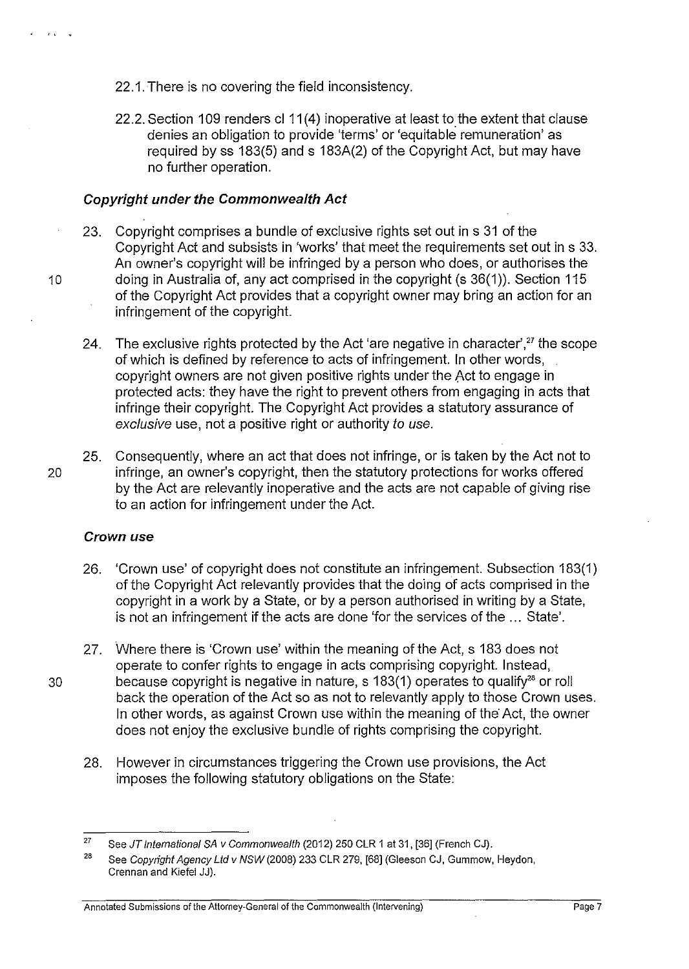- 22.1. There is no covering the field inconsistency.
- 22.2. Section 109 renders cl 11(4) inoperative at least to the extent that clause denies an obligation to provide 'terms' or 'equitable remuneration' as required by ss 183(5) and s 183A(2) of the Copyright Act, but may have no further operation.

### **Copyright under the Commonwealth Act**

- 23. Copyright comprises a bundle of exclusive rights set out in s 31 of the Copyright Act and subsists in 'works' that meet the requirements set out in s 33. An owner's copyright will be infringed by a person who does, or authorises the 10 doing in Australia of, any act comprised in the copyright (s 36(1)). Section 115 of the Copyright Act provides that a copyright owner may bring an action for an infringement of the copyright.
	- 24. The exclusive rights protected by the Act 'are negative in character', $27$  the scope of which is defined by reference to acts of infringement. In other words, copyright owners are not given positive rights under the Act to engage in protected acts: they have the right to prevent others from engaging in acts that infringe their copyright. The Copyright Act provides a statutory assurance of exclusive use, not a positive right or authority to use.
- 25. Consequently, where an act that does not infringe, or is taken by the Act not to 20 infringe, an owner's copyright, then the statutory protections for works offered by the Act are relevantly inoperative and the acts are not capable of giving rise to an action for infringement under the Act.

### **Crown use**

- 26. 'Crown use' of copyright does not constitute an infringement. Subsection 183(1) of the Copyright Act relevantly provides that the doing of acts comprised in the copyright in a work by a State, or by a person authorised in writing by a State, is not an infringement if the acts are done 'for the services of the ... State'.
- 27. Where there is 'Crown use' within the meaning of the Act, s 183 does not operate to confer rights to engage in acts comprising copyright. Instead, 30 because copyright is negative in nature, s 183(1) operates to qualify<sup>28</sup> or roll back the operation of the Act so as not to relevantly apply to those Crown uses. In other words, as against Crown use within the meaning of the Act, the owner does not enjoy the exclusive bundle of rights comprising the copyright.
	- 28. However in circumstances triggering the Crown use provisions, the Act imposes the following statutory obligations on the State:

**Annotated Submissions of the Attorney-General of the Commonwealth (Intervening)** Page 7

 $\mathcal{C} = \mathcal{C}(\mathbf{t})$  . We

<sup>27</sup>  See JT lntemational SA v Commonwealth (2012) 250 CLR 1 at 31, [36] (French CJ).

<sup>26</sup>  See Copyright Agency Ltd v NSW (2008) 233 CLR 279, [68] (Gleeson CJ, Gummow, Heydon, Grennan and Kiefel JJ).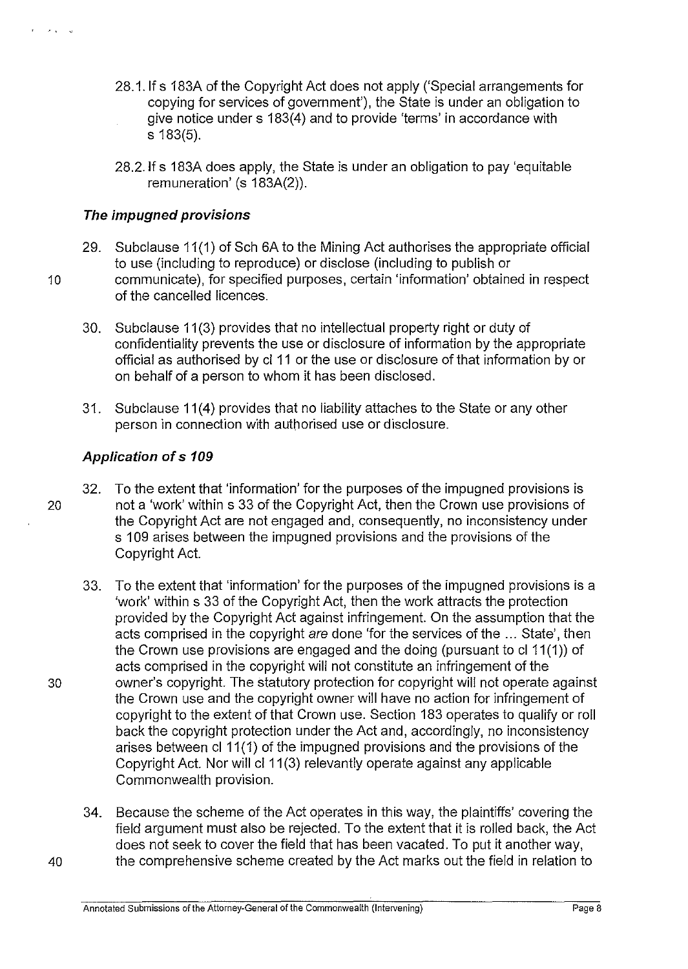- 28.1. If s 183A of the Copyright Act does not apply ('Special arrangements for copying for services of government'), the State is under an obligation to give notice under s 183(4) and to provide 'terms' in accordance with s 183(5).
- 28.2.1f s 183A does apply, the State is under an obligation to pay 'equitable remuneration' (s 183A(2)).

# **The impugned provisions**

- 29. Subclause 11 **(1)** of Sch 6A to the Mining Act authorises the appropriate official to use (including to reproduce) or disclose (including to publish or 10 communicate), for specified purposes, certain 'information' obtained in respect of the cancelled licences.
	- 30. Subclause 11(3) provides that no intellectual property right or duty of confidentiality prevents the use or disclosure of information by the appropriate official as authorised by cl 11 or the use or disclosure of that information by or on behalf of a person to whom it has been disclosed.
	- 31. Subclause **11 (4)** provides that no liability attaches to the State or any other person in connection with authorised use or disclosure.

# **Application of s 109**

- 32. To the extent that 'information' for the purposes of the impugned provisions is 20 not a 'work' within s 33 of the Copyright Act, then the Crown use provisions of the Copyright Act are not engaged and, consequently, no inconsistency under s 109 arises between the impugned provisions and the provisions of the Copyright Act.
- 33. To the extent that 'information' for the purposes of the impugned provisions is a 'work' within s 33 of the Copyright Act, then the work attracts the protection provided by the Copyright Act against infringement. On the assumption that the acts comprised in the copyright are done 'for the services of the ... State', then the Crown use provisions are engaged and the doing (pursuant to cl 11 (1 )) of acts comprised in the copyright will not constitute an infringement of the 30 owner's copyright. The statutory protection for copyright will not operate against the Crown use and the copyright owner will have no action for infringement of copyright to the extent of that Crown use. Section 183 operates to qualify or roll back the copyright protection under the Act and, accordingly, no inconsistency arises between cl 11(1) of the impugned provisions and the provisions of the Copyright Act. Nor will cl 11 (3) relevantly operate against any applicable Commonwealth provision.
- 34. Because the scheme of the Act operates **in** this way, the plaintiffs' covering the field argument must also be rejected. To the extent that it is rolled back, the Act does not seek to cover the field that has been vacated. To put it another way, 40 the comprehensive scheme created by the Act marks out the field in relation to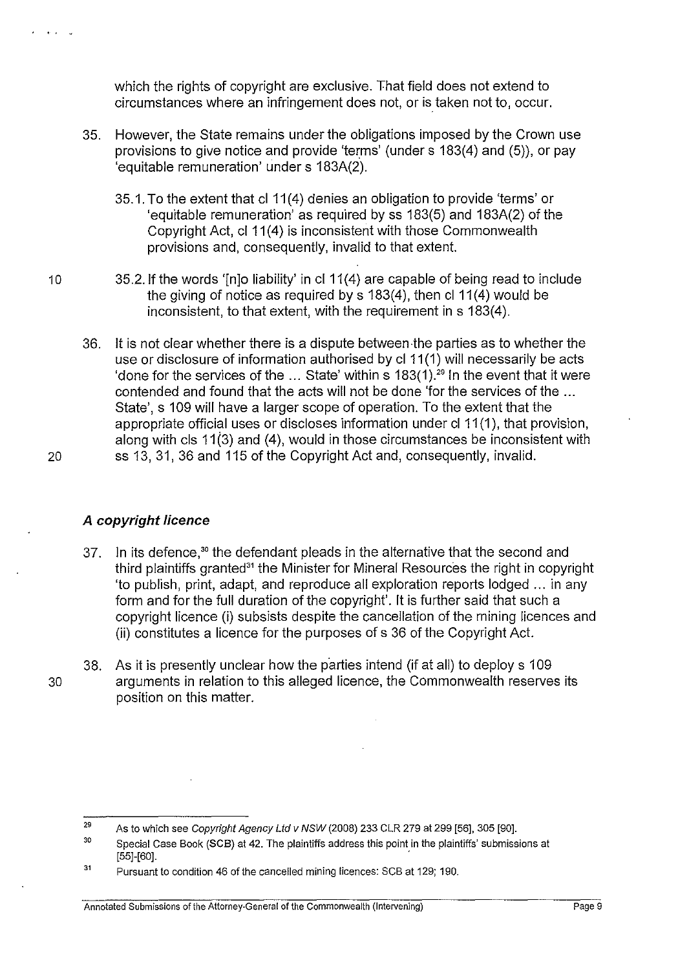which the rights of copyright are exclusive. That field does not extend to circumstances where an infringement does not, or is taken not to, occur.

- 35. However, the State remains under the obligations imposed by the Crown use provisions to give notice and provide 'terms' (under s 183(4) and (5)), or pay 'equitable remuneration' under s 183A(2).
	- 35.1. To the extent that cl 11 (4) denies an obligation to provide 'terms' or 'equitable remuneration' as required by ss 183(5) and 183A(2) of the Copyright Act, cl11 (4) is inconsistent with those Commonwealth provisions and, consequently, invalid to that extent.
- 10 35.2. If the words '[n]o liability' in cl 11(4) are capable of being read to include the giving of notice as required by  $s$  183(4), then cl 11(4) would be inconsistent, to that extent, with the requirement in s 183(4).
- 36. It is not clear whether there is a dispute between·the parties as to whether the use or disclosure of information authorised by cl 11 (1) will necessarily be acts 'done for the services of the ... State' within s  $183(1)$ .<sup>29</sup> In the event that it were contended and found that the acts will not be done 'for the services of the ... State', s 109 will have a larger scope of operation. To the extent that the appropriate official uses or discloses information under cl 11(1), that provision, along with cls 11 $(3)$  and (4), would in those circumstances be inconsistent with 20 ss 13, 31, 36 and 115 of the Copyright Act and, consequently, invalid.

• • • v

# **A copyright licence**

- 37. In its defence,<sup>30</sup> the defendant pleads in the alternative that the second and third plaintiffs granted<sup>31</sup> the Minister for Mineral Resources the right in copyright 'to publish, print, adapt, and reproduce all exploration reports lodged ... in any form and for the full duration of the copyright'. It is further said that such a copyright licence (i) subsists despite the cancellation of the mining licences and (ii) constitutes a licence for the purposes of s 36 of the Copyright Act.
- 38. As it is presently unclear how the parties intend (if at all) to deploys 109 30 arguments in relation to this alleged licence, the Commonwealth reserves its position on this matter.

<sup>29</sup>  As to which see Copyright Agency Ltd v NSW (2008) 233 CLR 279 at 299 [56], 305 [90].

<sup>30</sup>  Special Case Book (SCB) at 42. The plaintiffs address this point in the plaintiffs' submissions at [55]-[60]. .

<sup>31</sup>  Pursuant to condition 46 of the cancelled mining licences: SCB at 129; 190.